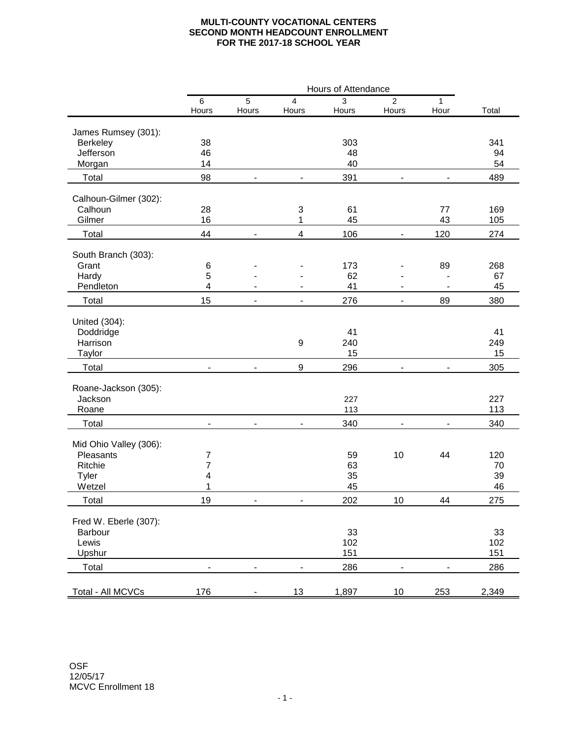## **MULTI-COUNTY VOCATIONAL CENTERS SECOND MONTH HEADCOUNT ENROLLMENT FOR THE 2017-18 SCHOOL YEAR**

|                        | Hours of Attendance |                |                          |                                         |                          |                                            |       |
|------------------------|---------------------|----------------|--------------------------|-----------------------------------------|--------------------------|--------------------------------------------|-------|
|                        | $\,6$               | $\overline{5}$ | 4                        | 3                                       | $\overline{2}$           | 1                                          |       |
|                        | Hours               | Hours          | Hours                    | Hours                                   | Hours                    | Hour                                       | Total |
| James Rumsey (301):    |                     |                |                          |                                         |                          |                                            |       |
| Berkeley               | 38                  |                | 303                      |                                         |                          |                                            | 341   |
| Jefferson              | 46                  |                |                          | 48                                      |                          |                                            | 94    |
| Morgan                 | 14                  |                |                          | 40                                      |                          |                                            |       |
| Total                  | 98                  | $\blacksquare$ | $\blacksquare$           | 391<br>$\blacksquare$<br>$\blacksquare$ |                          | 54<br>489                                  |       |
|                        |                     |                |                          |                                         |                          |                                            |       |
| Calhoun-Gilmer (302):  |                     |                |                          |                                         |                          |                                            |       |
| Calhoun                | 28                  |                | 3                        | 61                                      |                          | 77                                         | 169   |
| Gilmer                 | 16                  |                | 1                        | 45                                      |                          | 43                                         | 105   |
| Total                  | 44                  | $\blacksquare$ | 4                        | 106                                     | $\overline{\phantom{0}}$ | 120                                        | 274   |
| South Branch (303):    |                     |                |                          |                                         |                          |                                            |       |
| Grant                  | 6                   |                |                          | 173                                     |                          | 89                                         | 268   |
| Hardy                  | 5                   |                |                          | 62                                      |                          |                                            | 67    |
| Pendleton              | 4                   | $\blacksquare$ | $\overline{\phantom{a}}$ | 41                                      | $\overline{\phantom{a}}$ | $\blacksquare$                             | 45    |
| Total                  | 15                  | $\overline{a}$ | $\sim$                   | 276                                     | $\blacksquare$           | 89                                         | 380   |
|                        |                     |                |                          |                                         |                          |                                            |       |
| United (304):          |                     |                |                          |                                         |                          |                                            |       |
| Doddridge              |                     |                |                          | 41                                      |                          |                                            | 41    |
| Harrison               |                     |                | 9                        | 240                                     |                          |                                            | 249   |
| Taylor                 |                     |                |                          | 15                                      |                          |                                            | 15    |
| Total                  |                     |                | 9                        | 296                                     |                          |                                            | 305   |
|                        |                     |                |                          |                                         |                          |                                            |       |
| Roane-Jackson (305):   |                     |                |                          |                                         |                          |                                            |       |
| Jackson                |                     |                |                          | 227                                     |                          |                                            | 227   |
| Roane                  |                     |                |                          | 113                                     |                          |                                            | 113   |
| Total                  | $\blacksquare$      | $\blacksquare$ |                          | 340                                     | $\overline{\phantom{a}}$ |                                            | 340   |
| Mid Ohio Valley (306): |                     |                |                          |                                         |                          |                                            |       |
| Pleasants              | 7                   |                |                          | 59                                      | 10                       | 44                                         | 120   |
| Ritchie                | 7                   |                |                          | 63                                      |                          |                                            | 70    |
| Tyler                  | 4                   |                |                          | 35                                      |                          |                                            | 39    |
| Wetzel                 | 1                   |                |                          | 45                                      |                          |                                            | 46    |
| Total                  | 19                  |                |                          | 202                                     | $10\,$                   | $\boldsymbol{\Lambda}\boldsymbol{\Lambda}$ | 275   |
|                        |                     |                |                          |                                         |                          |                                            |       |
| Fred W. Eberle (307):  |                     |                |                          |                                         |                          |                                            |       |
| Barbour                |                     |                |                          | 33                                      |                          |                                            | 33    |
| Lewis                  |                     |                |                          | 102                                     |                          |                                            | 102   |
| Upshur                 |                     |                |                          | 151                                     |                          |                                            | 151   |
| Total                  |                     |                |                          | 286                                     |                          |                                            | 286   |
|                        |                     |                |                          |                                         |                          |                                            |       |
| Total - All MCVCs      | 176                 |                | 13                       | 1,897                                   | $10\,$                   | 253                                        | 2,349 |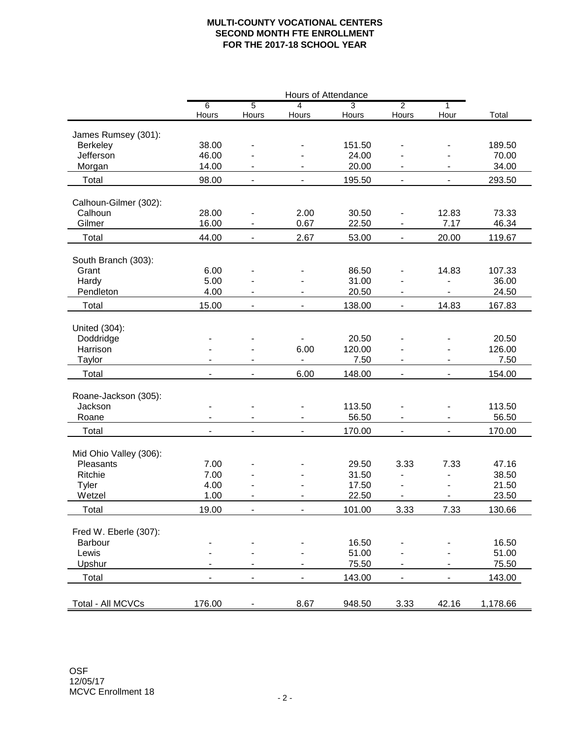## **MULTI-COUNTY VOCATIONAL CENTERS SECOND MONTH FTE ENROLLMENT FOR THE 2017-18 SCHOOL YEAR**

|                        | Hours of Attendance          |                          |                          |                |                          |                          |          |
|------------------------|------------------------------|--------------------------|--------------------------|----------------|--------------------------|--------------------------|----------|
|                        | $\overline{6}$               | 5                        | $\overline{4}$           | $\overline{3}$ | $\overline{2}$           | $\overline{1}$           |          |
|                        | Hours                        | Hours                    | Hours                    | Hours          | Hours                    | Hour                     | Total    |
| James Rumsey (301):    |                              |                          |                          |                |                          |                          |          |
| Berkeley               | 38.00                        |                          |                          | 151.50         |                          |                          | 189.50   |
| Jefferson              | 46.00                        |                          |                          | 24.00          |                          |                          | 70.00    |
| Morgan                 | 14.00                        |                          |                          | 20.00          |                          |                          | 34.00    |
|                        |                              |                          |                          |                |                          |                          |          |
| Total                  | 98.00                        | $\overline{\phantom{0}}$ | $\blacksquare$           | 195.50         | $\blacksquare$           | $\overline{\phantom{0}}$ | 293.50   |
| Calhoun-Gilmer (302):  |                              |                          |                          |                |                          |                          |          |
| Calhoun                | 28.00                        |                          | 2.00                     | 30.50          |                          | 12.83                    | 73.33    |
| Gilmer                 | 16.00                        |                          | 0.67                     | 22.50          | $\overline{\phantom{a}}$ | 7.17                     | 46.34    |
| Total                  | 44.00                        | $\overline{\phantom{0}}$ | 2.67                     | 53.00          | $\blacksquare$           | 20.00                    | 119.67   |
|                        |                              |                          |                          |                |                          |                          |          |
| South Branch (303):    |                              |                          |                          |                |                          |                          |          |
| Grant                  | 6.00                         |                          |                          | 86.50          |                          | 14.83                    | 107.33   |
| Hardy                  | 5.00                         |                          |                          | 31.00          |                          |                          | 36.00    |
| Pendleton              | 4.00                         |                          |                          | 20.50          |                          |                          | 24.50    |
| Total                  | 15.00                        | $\overline{\phantom{0}}$ | $\blacksquare$           | 138.00         | $\overline{\phantom{a}}$ | 14.83                    | 167.83   |
|                        |                              |                          |                          |                |                          |                          |          |
| United (304):          |                              |                          |                          |                |                          |                          |          |
| Doddridge              |                              |                          |                          | 20.50          |                          |                          | 20.50    |
| Harrison               |                              |                          | 6.00                     | 120.00         |                          |                          | 126.00   |
| Taylor                 |                              |                          |                          | 7.50           |                          |                          | 7.50     |
| Total                  |                              | $\overline{\phantom{0}}$ | 6.00                     | 148.00         |                          |                          | 154.00   |
|                        |                              |                          |                          |                |                          |                          |          |
| Roane-Jackson (305):   |                              |                          |                          |                |                          |                          |          |
| Jackson                |                              |                          |                          | 113.50         |                          | $\overline{\phantom{0}}$ | 113.50   |
| Roane                  | $\blacksquare$               | $\blacksquare$           | $\blacksquare$           | 56.50          | $\blacksquare$           | $\overline{\phantom{a}}$ | 56.50    |
| Total                  | $\blacksquare$               | $\overline{\phantom{a}}$ | $\blacksquare$           | 170.00         | $\blacksquare$           | $\blacksquare$           | 170.00   |
| Mid Ohio Valley (306): |                              |                          |                          |                |                          |                          |          |
| Pleasants              | 7.00                         |                          |                          | 29.50          | 3.33                     | 7.33                     | 47.16    |
| Ritchie                | 7.00                         |                          |                          | 31.50          |                          |                          | 38.50    |
| Tyler                  | 4.00                         |                          |                          | 17.50          |                          |                          | 21.50    |
| Wetzel                 | 1.00                         | $\overline{a}$           |                          | 22.50          |                          | $\overline{\phantom{a}}$ | 23.50    |
| Total                  | 19.00                        |                          |                          | 101.00         | 3.33                     | 7.33                     | 130.66   |
|                        |                              |                          |                          |                |                          |                          |          |
| Fred W. Eberle (307):  |                              |                          |                          |                |                          |                          |          |
| Barbour                |                              |                          |                          | 16.50          |                          |                          | 16.50    |
| Lewis                  |                              |                          |                          | 51.00          |                          |                          | 51.00    |
| Upshur                 |                              |                          |                          | 75.50          |                          |                          | 75.50    |
| Total                  | $\qquad \qquad \blacksquare$ | $\overline{\phantom{0}}$ | $\overline{\phantom{0}}$ | 143.00         | $\blacksquare$           | $\overline{\phantom{a}}$ | 143.00   |
|                        |                              |                          |                          |                |                          |                          |          |
| Total - All MCVCs      | 176.00                       |                          | 8.67                     | 948.50         | 3.33                     | 42.16                    | 1,178.66 |
|                        |                              |                          |                          |                |                          |                          |          |